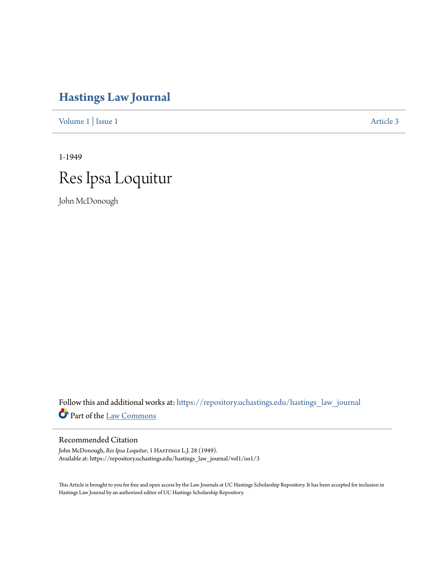## **[Hastings Law Journal](https://repository.uchastings.edu/hastings_law_journal?utm_source=repository.uchastings.edu%2Fhastings_law_journal%2Fvol1%2Fiss1%2F3&utm_medium=PDF&utm_campaign=PDFCoverPages)**

[Volume 1](https://repository.uchastings.edu/hastings_law_journal/vol1?utm_source=repository.uchastings.edu%2Fhastings_law_journal%2Fvol1%2Fiss1%2F3&utm_medium=PDF&utm_campaign=PDFCoverPages) | [Issue 1](https://repository.uchastings.edu/hastings_law_journal/vol1/iss1?utm_source=repository.uchastings.edu%2Fhastings_law_journal%2Fvol1%2Fiss1%2F3&utm_medium=PDF&utm_campaign=PDFCoverPages) [Article 3](https://repository.uchastings.edu/hastings_law_journal/vol1/iss1/3?utm_source=repository.uchastings.edu%2Fhastings_law_journal%2Fvol1%2Fiss1%2F3&utm_medium=PDF&utm_campaign=PDFCoverPages)

1-1949 Res Ipsa Loquitur

John McDonough

Follow this and additional works at: [https://repository.uchastings.edu/hastings\\_law\\_journal](https://repository.uchastings.edu/hastings_law_journal?utm_source=repository.uchastings.edu%2Fhastings_law_journal%2Fvol1%2Fiss1%2F3&utm_medium=PDF&utm_campaign=PDFCoverPages) Part of the [Law Commons](http://network.bepress.com/hgg/discipline/578?utm_source=repository.uchastings.edu%2Fhastings_law_journal%2Fvol1%2Fiss1%2F3&utm_medium=PDF&utm_campaign=PDFCoverPages)

## Recommended Citation

John McDonough, *Res Ipsa Loquitur*, 1 HASTINGS L.J. 28 (1949). Available at: https://repository.uchastings.edu/hastings\_law\_journal/vol1/iss1/3

This Article is brought to you for free and open access by the Law Journals at UC Hastings Scholarship Repository. It has been accepted for inclusion in Hastings Law Journal by an authorized editor of UC Hastings Scholarship Repository.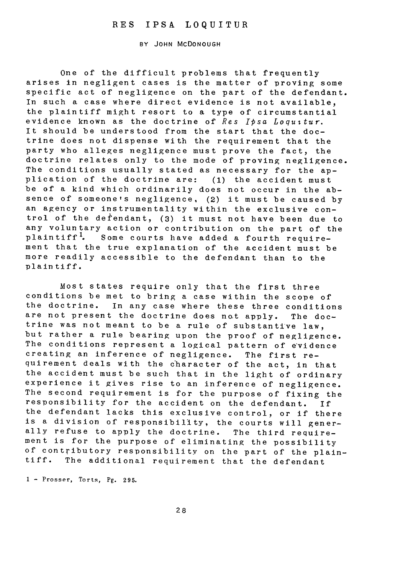## RES IPSA LOQUITUR

BY JOHN MCDONOUGH

One of the difficult problems that frequently arises in negligent cases is the matter of proving some specific act of negligence on the part of the defendant. In such a case where direct evidence is not available, the plaintiff might resort to a type of circumstantial evidence known as the doctrine of Res Ipsa Loquitur. It should be understood from the start that the doctrine does not dispense with the requirement that the party who alleges negligence must prove the fact, the doctrine relates only to the mode of proving negligence. The conditions usually stated as necessary for the application of the doctrine are: **(1)** the accident must be of a kind which ordinarily does not occur in the absence of someone's negligence, (2) it must be caused by an agency or instrumentality within the exclusive control of the defendant, (3) it must not have been due to any voluntary action or contribution on the part of the plaintiff<sup>1</sup>. Some courts have added a fourth requirement that the true explanation of the accident must be more readily accessible to the defendant than to the plaintiff.

Most states require only that the first three conditions be met to bring a case within the scope of the doctrine. In any case where these three conditions are not present the doctrine does not apply. The doctrine was not meant to be a rule of substantive law, but rather a rule bearing upon the proof of negligence. The conditions represent a logical pattern of e'vidence creating an inference of negligence. The first requirement deals with the c'haracter of the act, in that the accident must be such that in the light of ordinary experience it gives rise to an inference of negligence. The second requirement is for the purpose of fixing the responsibility for the accident on the defendant. If the defendant lacks this exclusive control, or if there is a division of responsibility, the courts will generally refuse to apply the doctrine. The third requirement is for the purpose of eliminating the possibility of contributory responsibility on the part of the plaintiff. The additional requirement that the defendant

<sup>1</sup>- Prosser, Torts, Pg. 295.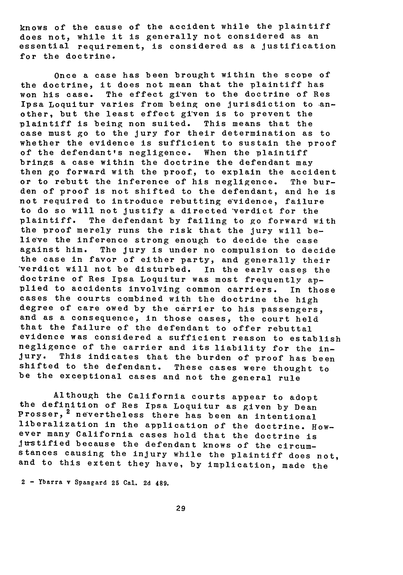knows of the cause of the accident while the plaintiff does not, while it is generally not considered as an essential requirement, is considered as a justification for the doctrine.

Once a case has been brought within the scope of the doctrine, it does not mean that the plaintiff has won his case. The effect given to the doctrine of Res Ipsa Loquitur varies from being one jurisdiction to another, but the least effect given is to prevent the plaintiff is being non suited. This means that the case must go to the jury for their determination as to whether the evidence is sufficient to sustain the proof of the defendant's negligence. When the plaintiff brings a case within the doctrine the defendant may then go forward with the proof, to explain the accident or to rebutt the inference of his negligence. The burden of proof is not shifted to the defendant, and he is not required to introduce rebutting e'vidence, failure to do so will not justify a directed verdict for the plaintiff. The defendant by failing to go forward with the proof merely runs the risk that the jury will believe the inference strong enough to decide the case against him. The jury is under no compulsion to decide the case in favor of either party, and generally their verdict will not be disturbed. In the early cases the doctrine of Res Ipsa Loquitur was most frequently applied to accidents involving common carriers. In those cases the courts combined with the doctrine the high degree of care owed by the carrier to his passengers, and as a consequence, in those cases, the court held that the failure of the defendant to offer rebuttal evidence was considered a sufficient reason to establish negligence of the carrier and its liability for the injury. This indicates that the burden of proof has been shifted to the defendant. These cases were thought to be the exceptional cases and not the general rule

Although the California courts appear to adopt the definition of Res Ipsa Loquitur as given by Dean Prosser, <sup>2</sup> nevertheless there has been an intentional liberalization in the application **of** the doctrine. However many California cases hold that the doctrine is Justified because the defendant knows of the circumstances causing the injury while the plaintiff does not, and to this extent they have, by implication, made the

2 - Ybarra v Spangard **25** Cal. **2d** 489.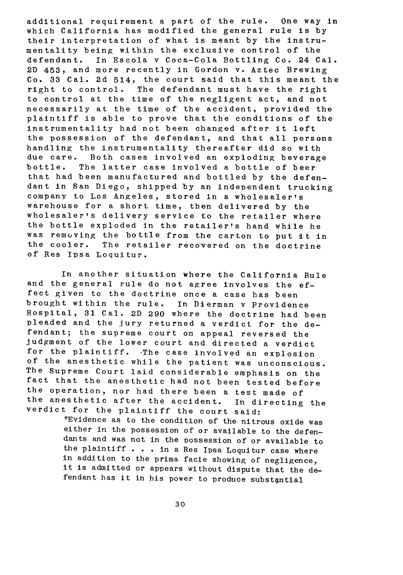additional requirement a part of the rule. One way in which California has modified the general rule is by their interpretation of what is meant by the instrumentality being within the exclusive control of the defendant. In Escola v Coca-Cola Bottling Co. 24 Cal. 2D 453, and more recently in Gordon v. Aztec Brewing Co. **33** Cal. 2d 514, the court said that this meant the right to control. The defendant must have the right to control at the time of the negligent act, and not necessarily at the time of the accident, provided the plaintiff is able to prove that the conditions of the instrumentality had not been changed after it left the possession of the defendant, and that all persons handling the instrumentality thereafter did so with due care. Both cases involved an exploding beverage bottle. The latter case involved a bottle of beer that had been manufactured and bottled by the defendant in San Diego, shipped by an independent trucking company to Los Angeles, stored in a wholesaler's warehouse for a short time, then delivered by the wholesaler's delivery service to the retailer where the bottle exploded in the retailer's hand while he was removing the bottle from the carton to put it in the cooler. The retailer recovered on the doctrine of Res Ipsa Loquitur.

In another situation where the California Rule and the general rule do not agree involves the effect given to the doctrine once a case has been brought within the rule. In Dierman v Providence Hospital, **31** Cal. 2D 290 where the doctrine had been pleaded and the jury returned a verdict for the defendant; the supreme court on appeal reversed the judgment of the lower court and directed a verdict for the plaintiff. The case involved an explosion of the anesthetic while the patient was unconscious. The Supreme Court laid considerable emphasis on the fact that the anesthetic had not been tested before the operation, nor had there been a test made of the anesthetic after the accident. In directing the verdict for the plaintiff the court said:

"Evidence as to the condition of the nitrous oxide was either in the possession of or available to the defendants and was not in the possession of or available to the plaintiff . . . in a Res Ipsa Loquitur case where in addition to the prima facie showing of negligence, it is admitted or appears without dispute that the defendant has it in his power to produce substantial